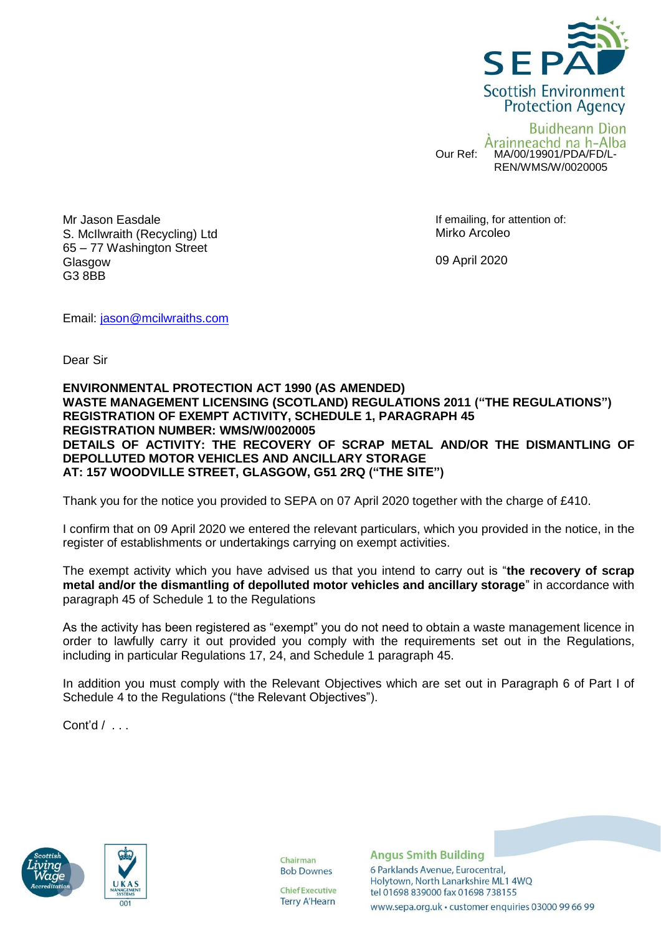

**Buidheann Dion** Àrainneachd na h-Alba Our Ref: MA/00/19901/PDA/FD/L-REN/WMS/W/0020005

Mr Jason Easdale S. McIlwraith (Recycling) Ltd 65 – 77 Washington Street **Glasgow** G3 8BB

If emailing, for attention of: Mirko Arcoleo

09 April 2020

Email: [jason@mcilwraiths.com](mailto:jason@mcilwraiths.com)

Dear Sir

## **ENVIRONMENTAL PROTECTION ACT 1990 (AS AMENDED) WASTE MANAGEMENT LICENSING (SCOTLAND) REGULATIONS 2011 ("THE REGULATIONS") REGISTRATION OF EXEMPT ACTIVITY, SCHEDULE 1, PARAGRAPH 45 REGISTRATION NUMBER: WMS/W/0020005 DETAILS OF ACTIVITY: THE RECOVERY OF SCRAP METAL AND/OR THE DISMANTLING OF DEPOLLUTED MOTOR VEHICLES AND ANCILLARY STORAGE AT: 157 WOODVILLE STREET, GLASGOW, G51 2RQ ("THE SITE")**

Thank you for the notice you provided to SEPA on 07 April 2020 together with the charge of £410.

I confirm that on 09 April 2020 we entered the relevant particulars, which you provided in the notice, in the register of establishments or undertakings carrying on exempt activities.

The exempt activity which you have advised us that you intend to carry out is "**the recovery of scrap metal and/or the dismantling of depolluted motor vehicles and ancillary storage**" in accordance with paragraph 45 of Schedule 1 to the Regulations

As the activity has been registered as "exempt" you do not need to obtain a waste management licence in order to lawfully carry it out provided you comply with the requirements set out in the Regulations, including in particular Regulations 17, 24, and Schedule 1 paragraph 45.

In addition you must comply with the Relevant Objectives which are set out in Paragraph 6 of Part I of Schedule 4 to the Regulations ("the Relevant Objectives").

Cont'd / . . .





Chairman **Bob Downes** 

**Chief Executive Terry A'Hearn**  **Angus Smith Building** 6 Parklands Avenue, Eurocentral, Holytown, North Lanarkshire ML1 4WQ tel 01698 839000 fax 01698 738155 www.sepa.org.uk · customer enquiries 03000 99 66 99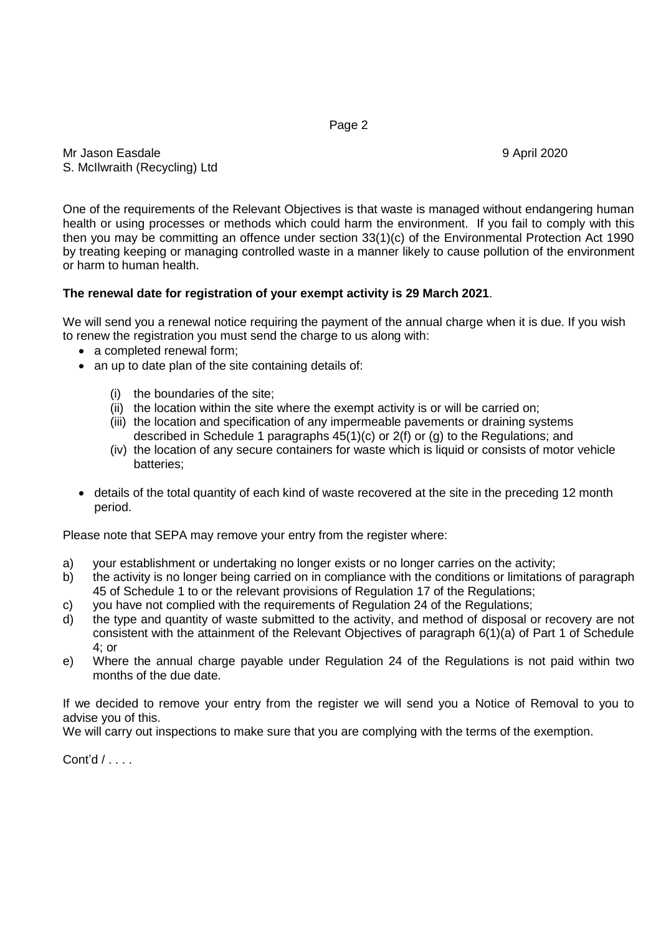Page 2

Mr Jason Easdale 9 April 2020 S. McIlwraith (Recycling) Ltd

One of the requirements of the Relevant Objectives is that waste is managed without endangering human health or using processes or methods which could harm the environment. If you fail to comply with this then you may be committing an offence under section 33(1)(c) of the Environmental Protection Act 1990 by treating keeping or managing controlled waste in a manner likely to cause pollution of the environment or harm to human health.

## **The renewal date for registration of your exempt activity is 29 March 2021**.

We will send you a renewal notice requiring the payment of the annual charge when it is due. If you wish to renew the registration you must send the charge to us along with:

- a completed renewal form;
- an up to date plan of the site containing details of:
	- (i) the boundaries of the site;
	- (ii) the location within the site where the exempt activity is or will be carried on;
	- (iii) the location and specification of any impermeable pavements or draining systems described in Schedule 1 paragraphs  $45(1)(c)$  or  $2(f)$  or (g) to the Regulations; and
	- (iv) the location of any secure containers for waste which is liquid or consists of motor vehicle batteries;
- details of the total quantity of each kind of waste recovered at the site in the preceding 12 month period.

Please note that SEPA may remove your entry from the register where:

- a) your establishment or undertaking no longer exists or no longer carries on the activity;
- b) the activity is no longer being carried on in compliance with the conditions or limitations of paragraph 45 of Schedule 1 to or the relevant provisions of Regulation 17 of the Regulations;
- c) you have not complied with the requirements of Regulation 24 of the Regulations;
- d) the type and quantity of waste submitted to the activity, and method of disposal or recovery are not consistent with the attainment of the Relevant Objectives of paragraph 6(1)(a) of Part 1 of Schedule 4; or
- e) Where the annual charge payable under Regulation 24 of the Regulations is not paid within two months of the due date.

If we decided to remove your entry from the register we will send you a Notice of Removal to you to advise you of this.

We will carry out inspections to make sure that you are complying with the terms of the exemption.

Cont'd / . . . .